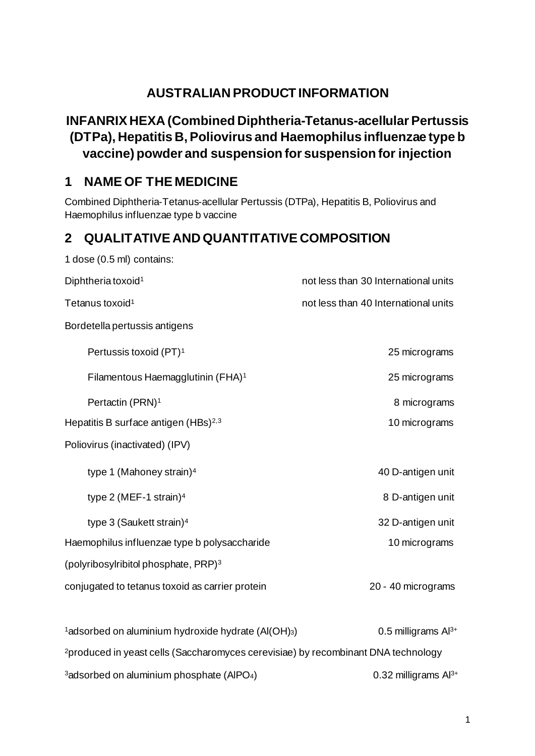# **AUSTRALIAN PRODUCT INFORMATION**

# **INFANRIX HEXA (Combined Diphtheria-Tetanus-acellular Pertussis (DTPa), Hepatitis B, Poliovirus and Haemophilus influenzae type b vaccine) powder and suspension for suspension for injection**

# **1 NAME OF THE MEDICINE**

Combined Diphtheria-Tetanus-acellular Pertussis (DTPa), Hepatitis B, Poliovirus and Haemophilus influenzae type b vaccine

# **2 QUALITATIVE AND QUANTITATIVE COMPOSITION**

| 1 dose (0.5 ml) contains:                                                                     |                                      |
|-----------------------------------------------------------------------------------------------|--------------------------------------|
| Diphtheria toxoid <sup>1</sup>                                                                | not less than 30 International units |
| Tetanus toxoid <sup>1</sup>                                                                   | not less than 40 International units |
| Bordetella pertussis antigens                                                                 |                                      |
| Pertussis toxoid (PT) <sup>1</sup>                                                            | 25 micrograms                        |
| Filamentous Haemagglutinin (FHA) <sup>1</sup>                                                 | 25 micrograms                        |
| Pertactin (PRN) <sup>1</sup>                                                                  | 8 micrograms                         |
| Hepatitis B surface antigen (HBs) <sup>2,3</sup>                                              | 10 micrograms                        |
| Poliovirus (inactivated) (IPV)                                                                |                                      |
| type 1 (Mahoney strain) <sup>4</sup>                                                          | 40 D-antigen unit                    |
| type 2 (MEF-1 strain) $4$                                                                     | 8 D-antigen unit                     |
| type 3 (Saukett strain) <sup>4</sup>                                                          | 32 D-antigen unit                    |
| Haemophilus influenzae type b polysaccharide                                                  | 10 micrograms                        |
| (polyribosylribitol phosphate, PRP) <sup>3</sup>                                              |                                      |
| conjugated to tetanus toxoid as carrier protein                                               | 20 - 40 micrograms                   |
|                                                                                               |                                      |
| <sup>1</sup> adsorbed on aluminium hydroxide hydrate (Al(OH)3)                                | 0.5 milligrams Al <sup>3+</sup>      |
| <sup>2</sup> produced in yeast cells (Saccharomyces cerevisiae) by recombinant DNA technology |                                      |
| <sup>3</sup> adsorbed on aluminium phosphate (AIPO <sub>4</sub> )                             | 0.32 milligrams $Al^{3+}$            |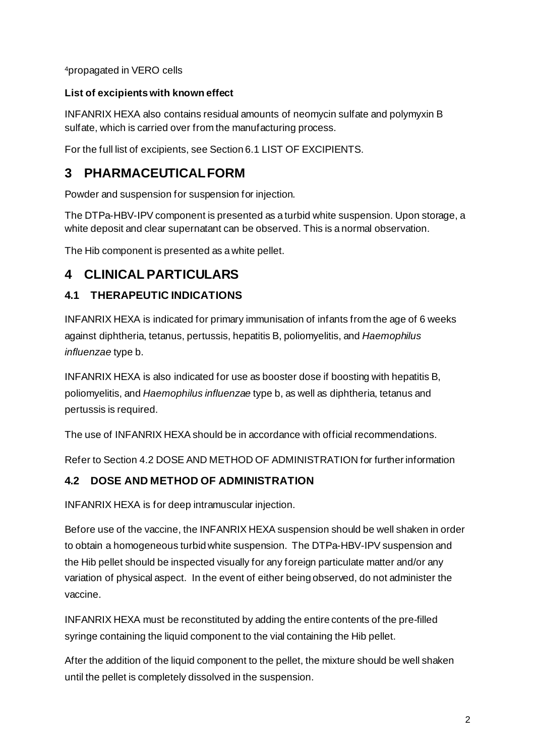4propagated in VERO cells

## **List of excipients with known effect**

INFANRIX HEXA also contains residual amounts of neomycin sulfate and polymyxin B sulfate, which is carried over from the manufacturing process.

For the full list of excipients, see Section 6.1 LIST OF EXCIPIENTS.

# **3 PHARMACEUTICAL FORM**

Powder and suspension for suspension for injection.

The DTPa-HBV-IPV component is presented as a turbid white suspension. Upon storage, a white deposit and clear supernatant can be observed. This is a normal observation.

The Hib component is presented as a white pellet.

# **4 CLINICAL PARTICULARS**

# **4.1 THERAPEUTIC INDICATIONS**

INFANRIX HEXA is indicated for primary immunisation of infants from the age of 6 weeks against diphtheria, tetanus, pertussis, hepatitis B, poliomyelitis, and *Haemophilus influenzae* type b.

INFANRIX HEXA is also indicated for use as booster dose if boosting with hepatitis B, poliomyelitis, and *Haemophilus influenzae* type b, as well as diphtheria, tetanus and pertussis is required.

The use of INFANRIX HEXA should be in accordance with official recommendations.

Refer to Section 4.2 DOSE AND METHOD OF ADMINISTRATION for further information

# **4.2 DOSE AND METHOD OF ADMINISTRATION**

INFANRIX HEXA is for deep intramuscular injection.

Before use of the vaccine, the INFANRIX HEXA suspension should be well shaken in order to obtain a homogeneous turbid white suspension. The DTPa-HBV-IPV suspension and the Hib pellet should be inspected visually for any foreign particulate matter and/or any variation of physical aspect. In the event of either being observed, do not administer the vaccine.

INFANRIX HEXA must be reconstituted by adding the entire contents of the pre-filled syringe containing the liquid component to the vial containing the Hib pellet.

After the addition of the liquid component to the pellet, the mixture should be well shaken until the pellet is completely dissolved in the suspension.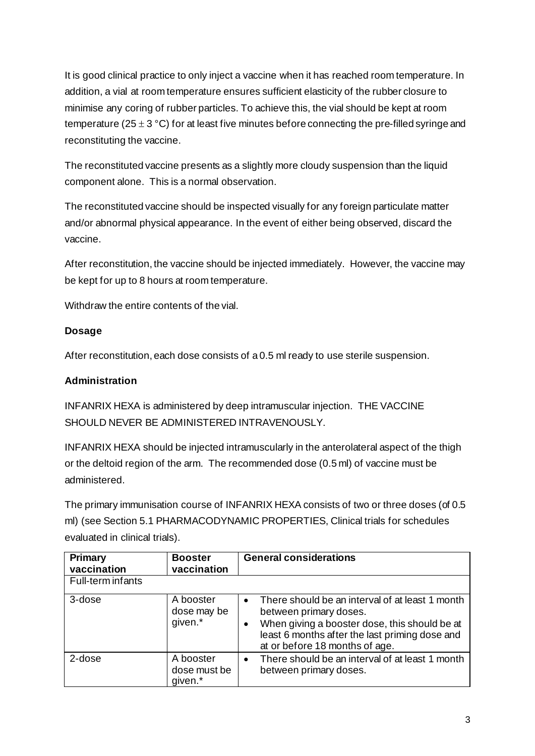It is good clinical practice to only inject a vaccine when it has reached room temperature. In addition, a vial at room temperature ensures sufficient elasticity of the rubber closure to minimise any coring of rubber particles. To achieve this, the vial should be kept at room temperature (25  $\pm$  3 °C) for at least five minutes before connecting the pre-filled syringe and reconstituting the vaccine.

The reconstituted vaccine presents as a slightly more cloudy suspension than the liquid component alone. This is a normal observation.

The reconstituted vaccine should be inspected visually for any foreign particulate matter and/or abnormal physical appearance. In the event of either being observed, discard the vaccine.

After reconstitution, the vaccine should be injected immediately. However, the vaccine may be kept for up to 8 hours at room temperature.

Withdraw the entire contents of the vial.

## **Dosage**

After reconstitution, each dose consists of a 0.5 ml ready to use sterile suspension.

## **Administration**

INFANRIX HEXA is administered by deep intramuscular injection. THE VACCINE SHOULD NEVER BE ADMINISTERED INTRAVENOUSLY.

INFANRIX HEXA should be injected intramuscularly in the anterolateral aspect of the thigh or the deltoid region of the arm. The recommended dose (0.5 ml) of vaccine must be administered.

The primary immunisation course of INFANRIX HEXA consists of two or three doses (of 0.5 ml) (see Section 5.1 PHARMACODYNAMIC PROPERTIES, Clinical trials for schedules evaluated in clinical trials).

| Primary<br>vaccination | <b>Booster</b><br>vaccination        | <b>General considerations</b>                                                                                                                                                                                                            |
|------------------------|--------------------------------------|------------------------------------------------------------------------------------------------------------------------------------------------------------------------------------------------------------------------------------------|
| Full-term infants      |                                      |                                                                                                                                                                                                                                          |
| 3-dose                 | A booster<br>dose may be<br>given.*  | There should be an interval of at least 1 month<br>$\bullet$<br>between primary doses.<br>When giving a booster dose, this should be at<br>$\bullet$<br>least 6 months after the last priming dose and<br>at or before 18 months of age. |
| 2-dose                 | A booster<br>dose must be<br>given.* | There should be an interval of at least 1 month<br>$\bullet$<br>between primary doses.                                                                                                                                                   |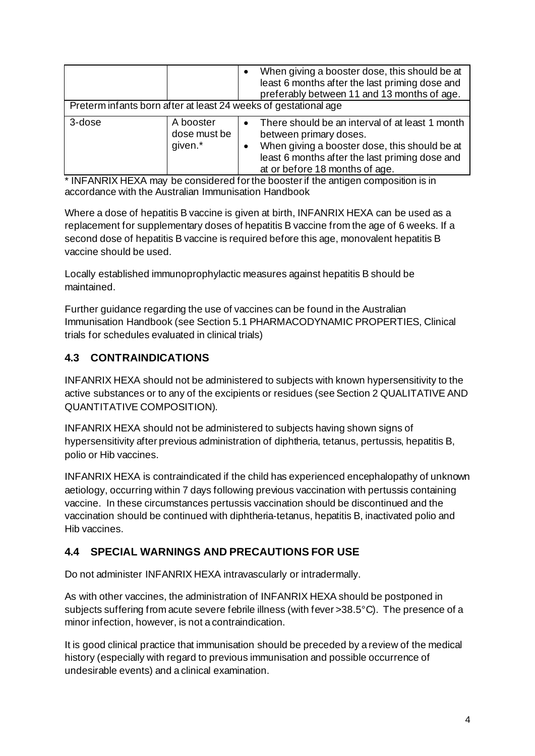|                                                                 |                                      |                        | When giving a booster dose, this should be at<br>least 6 months after the last priming dose and<br>preferably between 11 and 13 months of age.                                                                 |
|-----------------------------------------------------------------|--------------------------------------|------------------------|----------------------------------------------------------------------------------------------------------------------------------------------------------------------------------------------------------------|
| Preterm infants born after at least 24 weeks of gestational age |                                      |                        |                                                                                                                                                                                                                |
| 3-dose                                                          | A booster<br>dose must be<br>given.* | $\bullet$<br>$\bullet$ | There should be an interval of at least 1 month<br>between primary doses.<br>When giving a booster dose, this should be at<br>least 6 months after the last priming dose and<br>at or before 18 months of age. |

\* INFANRIX HEXA may be considered for the booster if the antigen composition is in accordance with the Australian Immunisation Handbook

Where a dose of hepatitis B vaccine is given at birth, INFANRIX HEXA can be used as a replacement for supplementary doses of hepatitis B vaccine from the age of 6 weeks. If a second dose of hepatitis B vaccine is required before this age, monovalent hepatitis B vaccine should be used.

Locally established immunoprophylactic measures against hepatitis B should be maintained.

Further guidance regarding the use of vaccines can be found in the Australian Immunisation Handbook (see Section 5.1 PHARMACODYNAMIC PROPERTIES, Clinical trials for schedules evaluated in clinical trials)

# **4.3 CONTRAINDICATIONS**

INFANRIX HEXA should not be administered to subjects with known hypersensitivity to the active substances or to any of the excipients or residues (see Section 2 QUALITATIVE AND QUANTITATIVE COMPOSITION).

INFANRIX HEXA should not be administered to subjects having shown signs of hypersensitivity after previous administration of diphtheria, tetanus, pertussis, hepatitis B, polio or Hib vaccines.

INFANRIX HEXA is contraindicated if the child has experienced encephalopathy of unknown aetiology, occurring within 7 days following previous vaccination with pertussis containing vaccine. In these circumstances pertussis vaccination should be discontinued and the vaccination should be continued with diphtheria-tetanus, hepatitis B, inactivated polio and Hib vaccines.

## **4.4 SPECIAL WARNINGS AND PRECAUTIONS FOR USE**

Do not administer INFANRIX HEXA intravascularly or intradermally.

As with other vaccines, the administration of INFANRIX HEXA should be postponed in subjects suffering from acute severe febrile illness (with fever >38.5°C). The presence of a minor infection, however, is not a contraindication.

It is good clinical practice that immunisation should be preceded by a review of the medical history (especially with regard to previous immunisation and possible occurrence of undesirable events) and a clinical examination.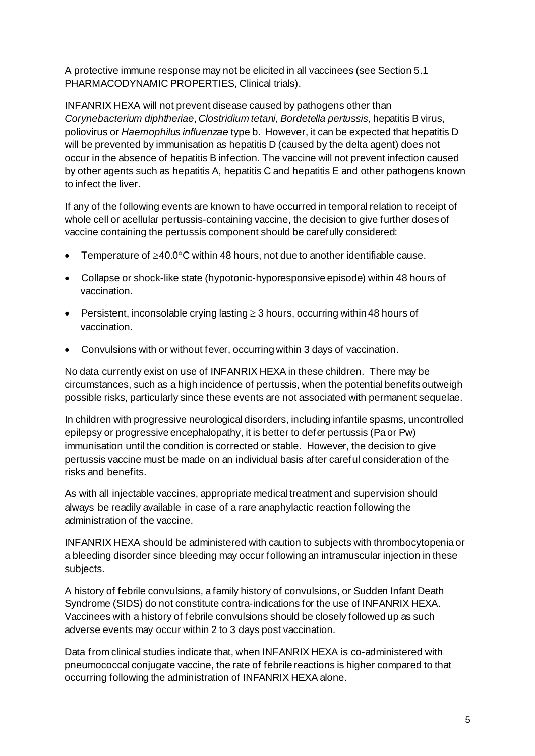A protective immune response may not be elicited in all vaccinees (see Section 5.1 PHARMACODYNAMIC PROPERTIES, Clinical trials).

INFANRIX HEXA will not prevent disease caused by pathogens other than *Corynebacterium diphtheriae*, *Clostridium tetani*, *Bordetella pertussis*, hepatitis B virus, poliovirus or *Haemophilus influenzae* type b. However, it can be expected that hepatitis D will be prevented by immunisation as hepatitis D (caused by the delta agent) does not occur in the absence of hepatitis B infection. The vaccine will not prevent infection caused by other agents such as hepatitis A, hepatitis C and hepatitis E and other pathogens known to infect the liver.

If any of the following events are known to have occurred in temporal relation to receipt of whole cell or acellular pertussis-containing vaccine, the decision to give further doses of vaccine containing the pertussis component should be carefully considered:

- Temperature of ≥40.0°C within 48 hours, not due to another identifiable cause.
- Collapse or shock-like state (hypotonic-hyporesponsive episode) within 48 hours of vaccination.
- Persistent, inconsolable crying lasting ≥ 3 hours, occurring within 48 hours of vaccination.
- Convulsions with or without fever, occurring within 3 days of vaccination.

No data currently exist on use of INFANRIX HEXA in these children. There may be circumstances, such as a high incidence of pertussis, when the potential benefits outweigh possible risks, particularly since these events are not associated with permanent sequelae.

In children with progressive neurological disorders, including infantile spasms, uncontrolled epilepsy or progressive encephalopathy, it is better to defer pertussis (Pa or Pw) immunisation until the condition is corrected or stable. However, the decision to give pertussis vaccine must be made on an individual basis after careful consideration of the risks and benefits.

As with all injectable vaccines, appropriate medical treatment and supervision should always be readily available in case of a rare anaphylactic reaction following the administration of the vaccine.

INFANRIX HEXA should be administered with caution to subjects with thrombocytopenia or a bleeding disorder since bleeding may occur following an intramuscular injection in these subjects.

A history of febrile convulsions, a family history of convulsions, or Sudden Infant Death Syndrome (SIDS) do not constitute contra-indications for the use of INFANRIX HEXA. Vaccinees with a history of febrile convulsions should be closely followed up as such adverse events may occur within 2 to 3 days post vaccination.

Data from clinical studies indicate that, when INFANRIX HEXA is co-administered with pneumococcal conjugate vaccine, the rate of febrile reactions is higher compared to that occurring following the administration of INFANRIX HEXA alone.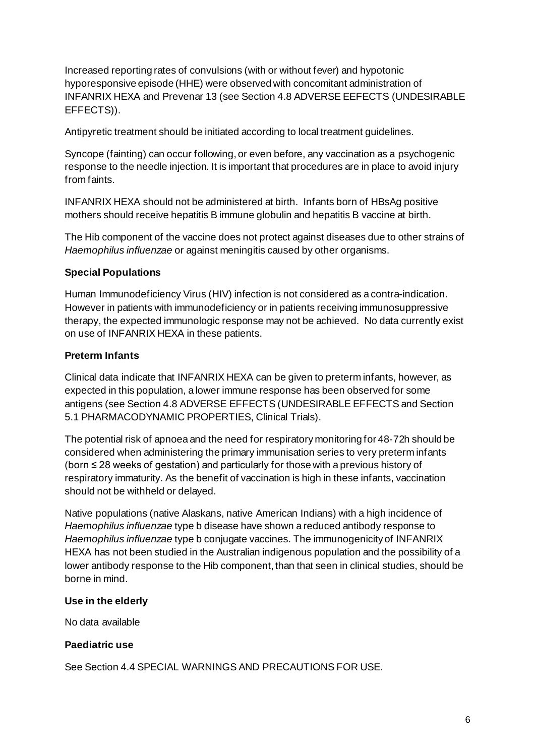Increased reporting rates of convulsions (with or without fever) and hypotonic hyporesponsive episode (HHE) were observed with concomitant administration of INFANRIX HEXA and Prevenar 13 (see Section 4.8 ADVERSE EEFECTS (UNDESIRABLE EFFECTS)).

Antipyretic treatment should be initiated according to local treatment guidelines.

Syncope (fainting) can occur following, or even before, any vaccination as a psychogenic response to the needle injection. It is important that procedures are in place to avoid injury from faints.

INFANRIX HEXA should not be administered at birth. Infants born of HBsAg positive mothers should receive hepatitis B immune globulin and hepatitis B vaccine at birth.

The Hib component of the vaccine does not protect against diseases due to other strains of *Haemophilus influenzae* or against meningitis caused by other organisms.

#### **Special Populations**

Human Immunodeficiency Virus (HIV) infection is not considered as a contra-indication. However in patients with immunodeficiency or in patients receiving immunosuppressive therapy, the expected immunologic response may not be achieved. No data currently exist on use of INFANRIX HEXA in these patients.

#### **Preterm Infants**

Clinical data indicate that INFANRIX HEXA can be given to preterm infants, however, as expected in this population, a lower immune response has been observed for some antigens (see Section 4.8 ADVERSE EFFECTS (UNDESIRABLE EFFECTS and Section 5.1 PHARMACODYNAMIC PROPERTIES, Clinical Trials).

The potential risk of apnoea and the need for respiratory monitoring for 48-72h should be considered when administering the primary immunisation series to very preterm infants (born ≤ 28 weeks of gestation) and particularly for those with a previous history of respiratory immaturity. As the benefit of vaccination is high in these infants, vaccination should not be withheld or delayed.

Native populations (native Alaskans, native American Indians) with a high incidence of *Haemophilus influenzae* type b disease have shown a reduced antibody response to *Haemophilus influenzae* type b conjugate vaccines. The immunogenicity of INFANRIX HEXA has not been studied in the Australian indigenous population and the possibility of a lower antibody response to the Hib component, than that seen in clinical studies, should be borne in mind.

#### **Use in the elderly**

No data available

#### **Paediatric use**

See Section 4.4 SPECIAL WARNINGS AND PRECAUTIONS FOR USE.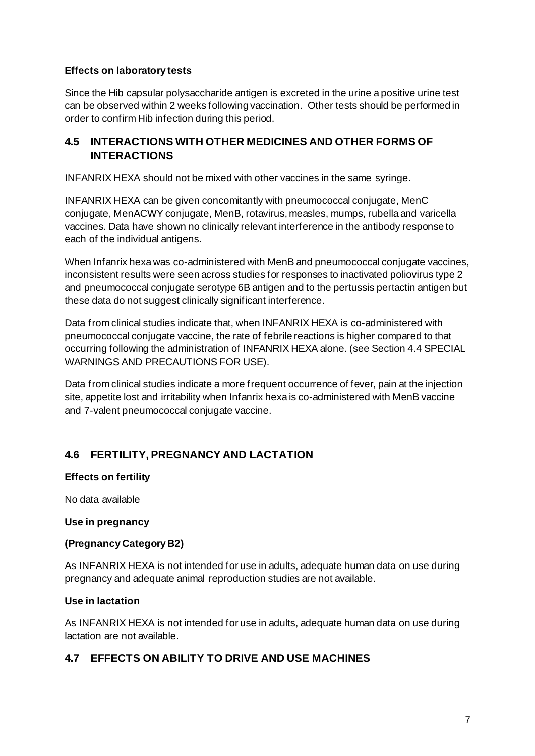### **Effects on laboratory tests**

Since the Hib capsular polysaccharide antigen is excreted in the urine a positive urine test can be observed within 2 weeks following vaccination. Other tests should be performed in order to confirm Hib infection during this period.

### **4.5 INTERACTIONS WITH OTHER MEDICINES AND OTHER FORMS OF INTERACTIONS**

INFANRIX HEXA should not be mixed with other vaccines in the same syringe.

INFANRIX HEXA can be given concomitantly with pneumococcal conjugate, MenC conjugate, MenACWY conjugate, MenB, rotavirus, measles, mumps, rubella and varicella vaccines. Data have shown no clinically relevant interference in the antibody response to each of the individual antigens.

When Infanrix hexa was co-administered with MenB and pneumococcal conjugate vaccines, inconsistent results were seen across studies for responses to inactivated poliovirus type 2 and pneumococcal conjugate serotype 6B antigen and to the pertussis pertactin antigen but these data do not suggest clinically significant interference.

Data from clinical studies indicate that, when INFANRIX HEXA is co-administered with pneumococcal conjugate vaccine, the rate of febrile reactions is higher compared to that occurring following the administration of INFANRIX HEXA alone. (see Section 4.4 SPECIAL WARNINGS AND PRECAUTIONS FOR USE).

Data from clinical studies indicate a more frequent occurrence of fever, pain at the injection site, appetite lost and irritability when Infanrix hexa is co-administered with MenB vaccine and 7-valent pneumococcal conjugate vaccine.

# **4.6 FERTILITY, PREGNANCY AND LACTATION**

#### **Effects on fertility**

No data available

#### **Use in pregnancy**

#### **(Pregnancy Category B2)**

As INFANRIX HEXA is not intended for use in adults, adequate human data on use during pregnancy and adequate animal reproduction studies are not available.

#### **Use in lactation**

As INFANRIX HEXA is not intended for use in adults, adequate human data on use during lactation are not available.

## **4.7 EFFECTS ON ABILITY TO DRIVE AND USE MACHINES**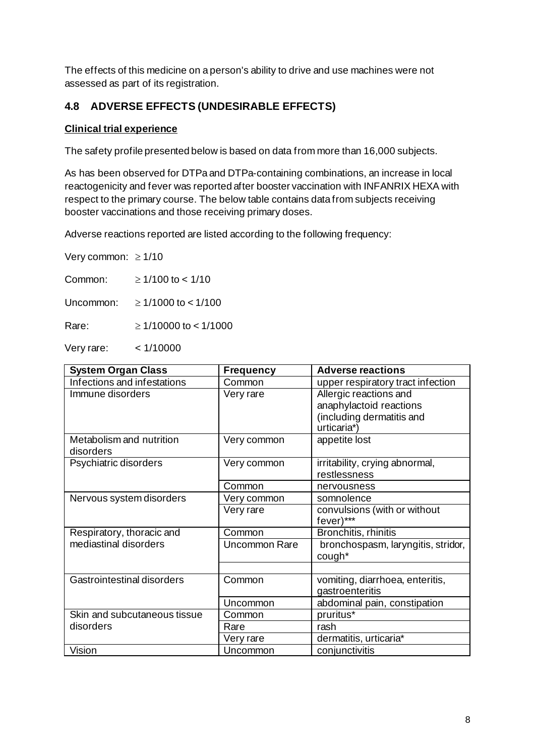The effects of this medicine on a person's ability to drive and use machines were not assessed as part of its registration.

# **4.8 ADVERSE EFFECTS (UNDESIRABLE EFFECTS)**

### **Clinical trial experience**

The safety profile presented below is based on data from more than 16,000 subjects.

As has been observed for DTPa and DTPa-containing combinations, an increase in local reactogenicity and fever was reported after booster vaccination with INFANRIX HEXA with respect to the primary course. The below table contains data from subjects receiving booster vaccinations and those receiving primary doses.

Adverse reactions reported are listed according to the following frequency:

Very common: ≥ 1/10

Common:  $\geq 1/100$  to < 1/10

Uncommon: ≥ 1/1000 to < 1/100

Rare: ≥ 1/10000 to < 1/1000

Very rare: < 1/10000

| <b>System Organ Class</b>    | <b>Frequency</b> | <b>Adverse reactions</b>           |
|------------------------------|------------------|------------------------------------|
| Infections and infestations  | Common           | upper respiratory tract infection  |
| Immune disorders             | Very rare        | Allergic reactions and             |
|                              |                  | anaphylactoid reactions            |
|                              |                  | (including dermatitis and          |
|                              |                  | urticaria*)                        |
| Metabolism and nutrition     | Very common      | appetite lost                      |
| disorders                    |                  |                                    |
| Psychiatric disorders        | Very common      | irritability, crying abnormal,     |
|                              |                  | restlessness                       |
|                              | Common           | nervousness                        |
| Nervous system disorders     | Very common      | somnolence                         |
|                              | Very rare        | convulsions (with or without       |
|                              |                  | fever)***                          |
| Respiratory, thoracic and    | Common           | Bronchitis, rhinitis               |
| mediastinal disorders        | Uncommon Rare    | bronchospasm, laryngitis, stridor, |
|                              |                  | cough*                             |
|                              |                  |                                    |
| Gastrointestinal disorders   | Common           | vomiting, diarrhoea, enteritis,    |
|                              |                  | gastroenteritis                    |
|                              | Uncommon         | abdominal pain, constipation       |
| Skin and subcutaneous tissue | Common           | pruritus*                          |
| disorders                    | Rare             | rash                               |
|                              | Very rare        | dermatitis, urticaria*             |
| Vision                       | Uncommon         | conjunctivitis                     |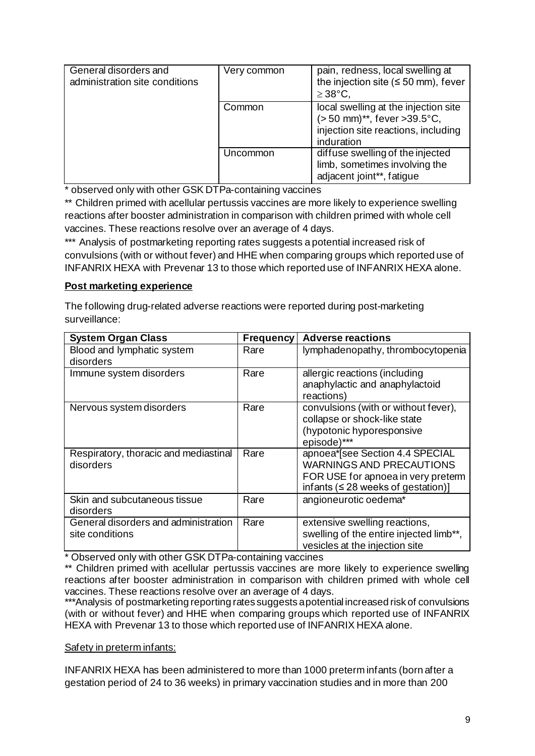| General disorders and<br>administration site conditions | Very common | pain, redness, local swelling at<br>the injection site ( $\leq$ 50 mm), fever<br>$\geq$ 38°C,                                  |
|---------------------------------------------------------|-------------|--------------------------------------------------------------------------------------------------------------------------------|
|                                                         | Common      | local swelling at the injection site<br>$(> 50$ mm)**, fever $> 39.5$ °C,<br>injection site reactions, including<br>induration |
|                                                         | Uncommon    | diffuse swelling of the injected<br>limb, sometimes involving the<br>adjacent joint**, fatigue                                 |

\* observed only with other GSK DTPa-containing vaccines

\*\* Children primed with acellular pertussis vaccines are more likely to experience swelling reactions after booster administration in comparison with children primed with whole cell vaccines. These reactions resolve over an average of 4 days.

\*\*\* Analysis of postmarketing reporting rates suggests a potential increased risk of convulsions (with or without fever) and HHE when comparing groups which reported use of INFANRIX HEXA with Prevenar 13 to those which reported use of INFANRIX HEXA alone.

### **Post marketing experience**

The following drug-related adverse reactions were reported during post-marketing surveillance:

| <b>System Organ Class</b>                               | <b>Frequency</b> | <b>Adverse reactions</b>                                                                                                                             |
|---------------------------------------------------------|------------------|------------------------------------------------------------------------------------------------------------------------------------------------------|
| Blood and lymphatic system<br>disorders                 | Rare             | lymphadenopathy, thrombocytopenia                                                                                                                    |
| Immune system disorders                                 | Rare             | allergic reactions (including<br>anaphylactic and anaphylactoid<br>reactions)                                                                        |
| Nervous system disorders                                | Rare             | convulsions (with or without fever),<br>collapse or shock-like state<br>(hypotonic hyporesponsive<br>episode)***                                     |
| Respiratory, thoracic and mediastinal<br>disorders      | Rare             | apnoea*[see Section 4.4 SPECIAL<br><b>WARNINGS AND PRECAUTIONS</b><br>FOR USE for apnoea in very preterm<br>infants ( $\leq$ 28 weeks of gestation)] |
| Skin and subcutaneous tissue<br>disorders               | Rare             | angioneurotic oedema*                                                                                                                                |
| General disorders and administration<br>site conditions | Rare             | extensive swelling reactions,<br>swelling of the entire injected limb**,<br>vesicles at the injection site                                           |

\* Observed only with other GSK DTPa-containing vaccines

\*\* Children primed with acellular pertussis vaccines are more likely to experience swelling reactions after booster administration in comparison with children primed with whole cell vaccines. These reactions resolve over an average of 4 days.

\*\*\*Analysis of postmarketing reporting rates suggests a potential increased risk of convulsions (with or without fever) and HHE when comparing groups which reported use of INFANRIX HEXA with Prevenar 13 to those which reported use of INFANRIX HEXA alone.

### Safety in preterm infants:

INFANRIX HEXA has been administered to more than 1000 preterm infants (born after a gestation period of 24 to 36 weeks) in primary vaccination studies and in more than 200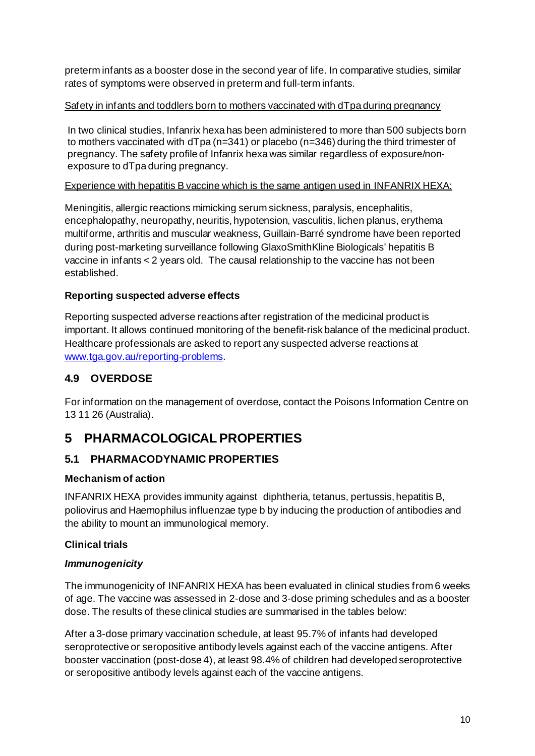preterm infants as a booster dose in the second year of life. In comparative studies, similar rates of symptoms were observed in preterm and full-term infants.

## Safety in infants and toddlers born to mothers vaccinated with dTpa during pregnancy

In two clinical studies, Infanrix hexa has been administered to more than 500 subjects born to mothers vaccinated with dTpa (n=341) or placebo (n=346) during the third trimester of pregnancy. The safety profile of Infanrix hexa was similar regardless of exposure/nonexposure to dTpa during pregnancy.

## Experience with hepatitis B vaccine which is the same antigen used in INFANRIX HEXA:

Meningitis, allergic reactions mimicking serum sickness, paralysis, encephalitis, encephalopathy, neuropathy, neuritis, hypotension, vasculitis, lichen planus, erythema multiforme, arthritis and muscular weakness, Guillain-Barré syndrome have been reported during post-marketing surveillance following GlaxoSmithKline Biologicals' hepatitis B vaccine in infants < 2 years old. The causal relationship to the vaccine has not been established.

## **Reporting suspected adverse effects**

Reporting suspected adverse reactions after registration of the medicinal product is important. It allows continued monitoring of the benefit-risk balance of the medicinal product. Healthcare professionals are asked to report any suspected adverse reactions at [www.tga.gov.au/reporting-problems.](http://www.tga.gov.au/reporting-problems)

# **4.9 OVERDOSE**

For information on the management of overdose, contact the Poisons Information Centre on 13 11 26 (Australia).

# **5 PHARMACOLOGICAL PROPERTIES**

# **5.1 PHARMACODYNAMIC PROPERTIES**

## **Mechanism of action**

INFANRIX HEXA provides immunity against diphtheria, tetanus, pertussis, hepatitis B, poliovirus and Haemophilus influenzae type b by inducing the production of antibodies and the ability to mount an immunological memory.

## **Clinical trials**

# *Immunogenicity*

The immunogenicity of INFANRIX HEXA has been evaluated in clinical studies from 6 weeks of age. The vaccine was assessed in 2-dose and 3-dose priming schedules and as a booster dose. The results of these clinical studies are summarised in the tables below:

After a 3-dose primary vaccination schedule, at least 95.7% of infants had developed seroprotective or seropositive antibody levels against each of the vaccine antigens. After booster vaccination (post-dose 4), at least 98.4% of children had developed seroprotective or seropositive antibody levels against each of the vaccine antigens.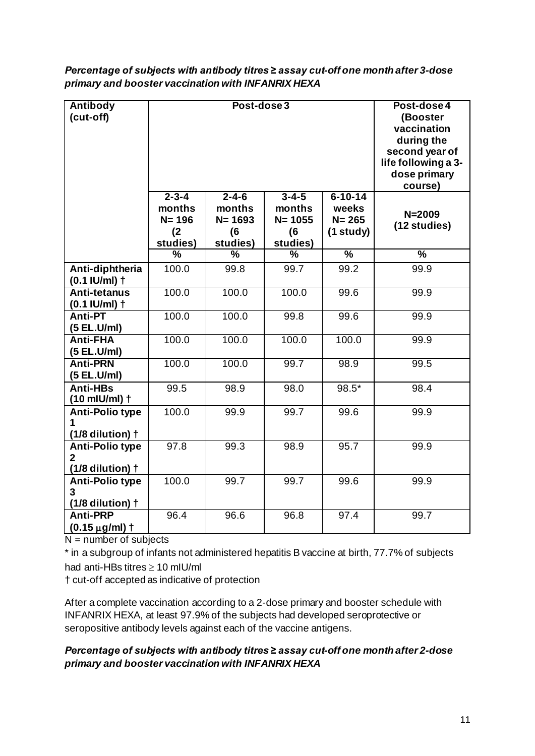| Percentage of subjects with antibody titres ≥ assay cut-off one month after 3-dose |
|------------------------------------------------------------------------------------|
| primary and booster vaccination with INFANRIX HEXA                                 |

| <b>Antibody</b><br>(cut-off)                              | Post-dose 3                                           |                                                        |                                                        |                                                       | Post-dose 4<br>(Booster<br>vaccination<br>during the<br>second year of<br>life following a 3-<br>dose primary<br>course) |
|-----------------------------------------------------------|-------------------------------------------------------|--------------------------------------------------------|--------------------------------------------------------|-------------------------------------------------------|--------------------------------------------------------------------------------------------------------------------------|
|                                                           | $2 - 3 - 4$<br>months<br>$N = 196$<br>(2)<br>studies) | $2 - 4 - 6$<br>months<br>$N = 1693$<br>(6)<br>studies) | $3 - 4 - 5$<br>months<br>$N = 1055$<br>(6)<br>studies) | $6 - 10 - 14$<br>weeks<br>$N = 265$<br>$(1$ study $)$ | $N = 2009$<br>(12 studies)                                                                                               |
|                                                           | %                                                     | $\%$                                                   | $\frac{9}{6}$                                          | $\frac{0}{6}$                                         | $\overline{\frac{9}{6}}$                                                                                                 |
| Anti-diphtheria<br>$(0.1$ IU/ml) $\dagger$                | 100.0                                                 | 99.8                                                   | 99.7                                                   | 99.2                                                  | 99.9                                                                                                                     |
| <b>Anti-tetanus</b><br>$(0.1$ IU/ml) $\dagger$            | 100.0                                                 | 100.0                                                  | 100.0                                                  | 99.6                                                  | 99.9                                                                                                                     |
| <b>Anti-PT</b><br>(5 EL.U/ml)                             | 100.0                                                 | 100.0                                                  | 99.8                                                   | 99.6                                                  | 99.9                                                                                                                     |
| <b>Anti-FHA</b><br>(5 EL.U/ml)                            | 100.0                                                 | 100.0                                                  | 100.0                                                  | 100.0                                                 | 99.9                                                                                                                     |
| <b>Anti-PRN</b><br>(5 EL.U/ml)                            | 100.0                                                 | 100.0                                                  | 99.7                                                   | 98.9                                                  | 99.5                                                                                                                     |
| <b>Anti-HBs</b><br>$(10$ mlU/ml) $\dagger$                | 99.5                                                  | 98.9                                                   | 98.0                                                   | 98.5*                                                 | 98.4                                                                                                                     |
| <b>Anti-Polio type</b><br>1<br>$(1/8$ dilution) $\dagger$ | 100.0                                                 | 99.9                                                   | 99.7                                                   | 99.6                                                  | 99.9                                                                                                                     |
| <b>Anti-Polio type</b><br>2<br>$(1/8$ dilution) $\dagger$ | 97.8                                                  | 99.3                                                   | 98.9                                                   | 95.7                                                  | 99.9                                                                                                                     |
| <b>Anti-Polio type</b><br>3<br>$(1/8$ dilution) $\dagger$ | 100.0                                                 | 99.7                                                   | 99.7                                                   | 99.6                                                  | 99.9                                                                                                                     |
| <b>Anti-PRP</b><br>$(0.15 \,\mu g/ml)$ †                  | 96.4                                                  | 96.6                                                   | 96.8                                                   | 97.4                                                  | 99.7                                                                                                                     |

 $N =$  number of subjects

\* in a subgroup of infants not administered hepatitis B vaccine at birth, 77.7% of subjects had anti-HBs titres ≥ 10 mIU/ml

† cut-off accepted as indicative of protection

After a complete vaccination according to a 2-dose primary and booster schedule with INFANRIX HEXA, at least 97.9% of the subjects had developed seroprotective or seropositive antibody levels against each of the vaccine antigens.

## *Percentage of subjects with antibody titres ≥ assay cut-off one month after 2-dose primary and booster vaccination with INFANRIX HEXA*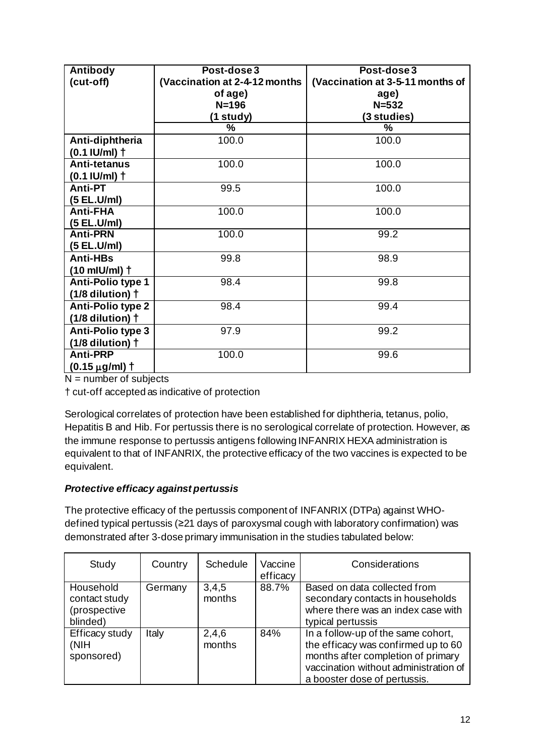| Antibody                   | Post-dose 3                   | Post-dose 3                      |
|----------------------------|-------------------------------|----------------------------------|
| (cut-off)                  | (Vaccination at 2-4-12 months | (Vaccination at 3-5-11 months of |
|                            | of age)                       | age)                             |
|                            | $N = 196$                     | $N = 532$                        |
|                            | (1 study)                     | (3 studies)                      |
|                            | %                             | %                                |
| Anti-diphtheria            | 100.0                         | 100.0                            |
| $(0.1$ IU/ml) $\dagger$    |                               |                                  |
| Anti-tetanus               | 100.0                         | 100.0                            |
| $(0.1$ IU/ml) $\dagger$    |                               |                                  |
| Anti-PT                    | 99.5                          | 100.0                            |
| (5 EL.U/ml)                |                               |                                  |
| <b>Anti-FHA</b>            | 100.0                         | 100.0                            |
| (5 EL.U/ml)                |                               |                                  |
| <b>Anti-PRN</b>            | 100.0                         | 99.2                             |
| (5 EL.U/ml)                |                               |                                  |
| <b>Anti-HBs</b>            | 99.8                          | 98.9                             |
| $(10$ mlU/ml) $\dagger$    |                               |                                  |
| <b>Anti-Polio type 1</b>   | 98.4                          | 99.8                             |
| $(1/8$ dilution) $\dagger$ |                               |                                  |
| <b>Anti-Polio type 2</b>   | 98.4                          | 99.4                             |
| $(1/8$ dilution) $\dagger$ |                               |                                  |
| Anti-Polio type 3          | 97.9                          | 99.2                             |
| $(1/8$ dilution) $\dagger$ |                               |                                  |
| <b>Anti-PRP</b>            | 100.0                         | 99.6                             |
| $(0.15 \,\mu g/ml)$ †      |                               |                                  |

 $N =$  number of subjects

† cut-off accepted as indicative of protection

Serological correlates of protection have been established for diphtheria, tetanus, polio, Hepatitis B and Hib. For pertussis there is no serological correlate of protection. However, as the immune response to pertussis antigens following INFANRIX HEXA administration is equivalent to that of INFANRIX, the protective efficacy of the two vaccines is expected to be equivalent.

## *Protective efficacy against pertussis*

The protective efficacy of the pertussis component of INFANRIX (DTPa) against WHOdefined typical pertussis (≥21 days of paroxysmal cough with laboratory confirmation) was demonstrated after 3-dose primary immunisation in the studies tabulated below:

| Study                                                  | Country | Schedule        | Vaccine<br>efficacy | Considerations                                                                                                                                                                           |
|--------------------------------------------------------|---------|-----------------|---------------------|------------------------------------------------------------------------------------------------------------------------------------------------------------------------------------------|
| Household<br>contact study<br>(prospective<br>blinded) | Germany | 3,4,5<br>months | 88.7%               | Based on data collected from<br>secondary contacts in households<br>where there was an index case with<br>typical pertussis                                                              |
| Efficacy study<br>(NIH<br>sponsored)                   | Italy   | 2,4,6<br>months | 84%                 | In a follow-up of the same cohort,<br>the efficacy was confirmed up to 60<br>months after completion of primary<br>vaccination without administration of<br>a booster dose of pertussis. |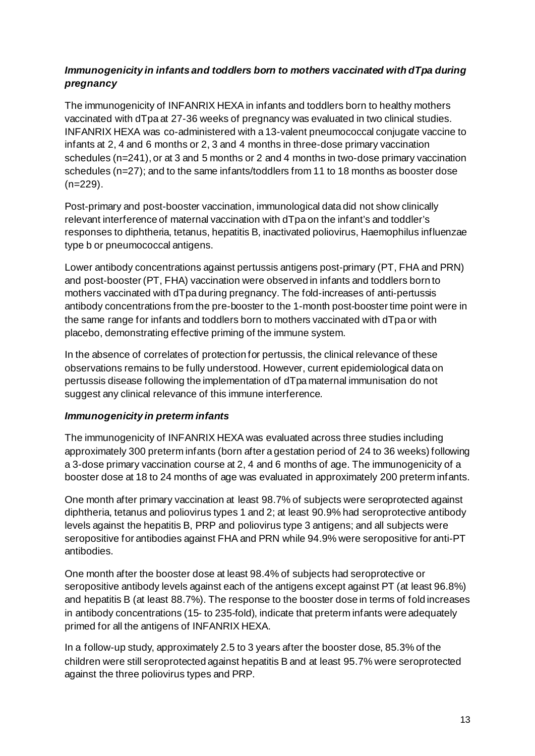### *Immunogenicity in infants and toddlers born to mothers vaccinated with dTpa during pregnancy*

The immunogenicity of INFANRIX HEXA in infants and toddlers born to healthy mothers vaccinated with dTpa at 27-36 weeks of pregnancy was evaluated in two clinical studies. INFANRIX HEXA was co-administered with a 13-valent pneumococcal conjugate vaccine to infants at 2, 4 and 6 months or 2, 3 and 4 months in three-dose primary vaccination schedules (n=241), or at 3 and 5 months or 2 and 4 months in two-dose primary vaccination schedules (n=27); and to the same infants/toddlers from 11 to 18 months as booster dose (n=229).

Post-primary and post-booster vaccination, immunological data did not show clinically relevant interference of maternal vaccination with dTpa on the infant's and toddler's responses to diphtheria, tetanus, hepatitis B, inactivated poliovirus, Haemophilus influenzae type b or pneumococcal antigens.

Lower antibody concentrations against pertussis antigens post-primary (PT, FHA and PRN) and post-booster (PT, FHA) vaccination were observed in infants and toddlers born to mothers vaccinated with dTpa during pregnancy. The fold-increases of anti-pertussis antibody concentrations from the pre-booster to the 1-month post-booster time point were in the same range for infants and toddlers born to mothers vaccinated with dTpa or with placebo, demonstrating effective priming of the immune system.

In the absence of correlates of protection for pertussis, the clinical relevance of these observations remains to be fully understood. However, current epidemiological data on pertussis disease following the implementation of dTpa maternal immunisation do not suggest any clinical relevance of this immune interference.

### *Immunogenicity in preterm infants*

The immunogenicity of INFANRIX HEXA was evaluated across three studies including approximately 300 preterm infants (born after a gestation period of 24 to 36 weeks) following a 3-dose primary vaccination course at 2, 4 and 6 months of age. The immunogenicity of a booster dose at 18 to 24 months of age was evaluated in approximately 200 preterm infants.

One month after primary vaccination at least 98.7% of subjects were seroprotected against diphtheria, tetanus and poliovirus types 1 and 2; at least 90.9% had seroprotective antibody levels against the hepatitis B, PRP and poliovirus type 3 antigens; and all subjects were seropositive for antibodies against FHA and PRN while 94.9% were seropositive for anti-PT antibodies.

One month after the booster dose at least 98.4% of subjects had seroprotective or seropositive antibody levels against each of the antigens except against PT (at least 96.8%) and hepatitis B (at least 88.7%). The response to the booster dose in terms of fold increases in antibody concentrations (15- to 235-fold), indicate that preterm infants were adequately primed for all the antigens of INFANRIX HEXA.

In a follow-up study, approximately 2.5 to 3 years after the booster dose, 85.3% of the children were still seroprotected against hepatitis B and at least 95.7% were seroprotected against the three poliovirus types and PRP.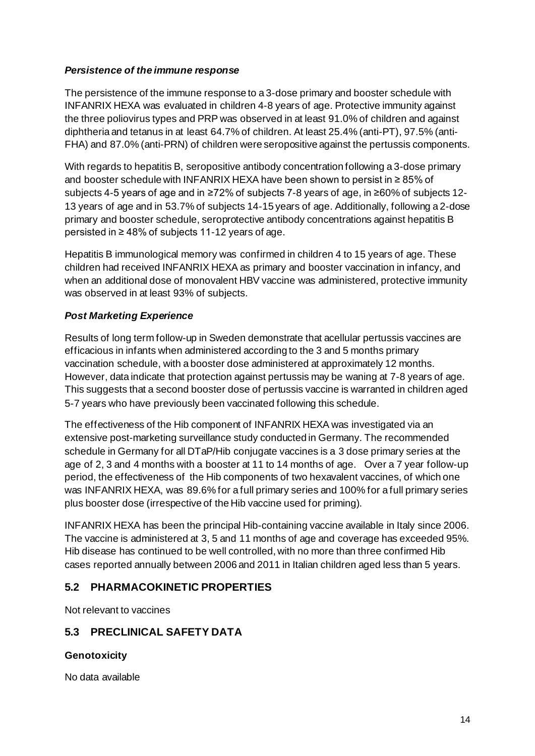#### *Persistence of the immune response*

The persistence of the immune response to a 3-dose primary and booster schedule with INFANRIX HEXA was evaluated in children 4-8 years of age. Protective immunity against the three poliovirus types and PRP was observed in at least 91.0% of children and against diphtheria and tetanus in at least 64.7% of children. At least 25.4% (anti-PT), 97.5% (anti-FHA) and 87.0% (anti-PRN) of children were seropositive against the pertussis components.

With regards to hepatitis B, seropositive antibody concentration following a 3-dose primary and booster schedule with INFANRIX HEXA have been shown to persist in ≥ 85% of subiects 4-5 years of age and in ≥72% of subjects 7-8 years of age, in ≥60% of subjects 12-13 years of age and in 53.7% of subjects 14-15 years of age. Additionally, following a 2-dose primary and booster schedule, seroprotective antibody concentrations against hepatitis B persisted in ≥ 48% of subjects 11-12 years of age.

Hepatitis B immunological memory was confirmed in children 4 to 15 years of age. These children had received INFANRIX HEXA as primary and booster vaccination in infancy, and when an additional dose of monovalent HBV vaccine was administered, protective immunity was observed in at least 93% of subjects.

### *Post Marketing Experience*

Results of long term follow-up in Sweden demonstrate that acellular pertussis vaccines are efficacious in infants when administered according to the 3 and 5 months primary vaccination schedule, with a booster dose administered at approximately 12 months. However, data indicate that protection against pertussis may be waning at 7-8 years of age. This suggests that a second booster dose of pertussis vaccine is warranted in children aged 5-7 years who have previously been vaccinated following this schedule.

The effectiveness of the Hib component of INFANRIX HEXA was investigated via an extensive post-marketing surveillance study conducted in Germany. The recommended schedule in Germany for all DTaP/Hib conjugate vaccines is a 3 dose primary series at the age of 2, 3 and 4 months with a booster at 11 to 14 months of age. Over a 7 year follow-up period, the effectiveness of the Hib components of two hexavalent vaccines, of which one was INFANRIX HEXA, was 89.6% for a full primary series and 100% for a full primary series plus booster dose (irrespective of the Hib vaccine used for priming).

INFANRIX HEXA has been the principal Hib-containing vaccine available in Italy since 2006. The vaccine is administered at 3, 5 and 11 months of age and coverage has exceeded 95%. Hib disease has continued to be well controlled, with no more than three confirmed Hib cases reported annually between 2006 and 2011 in Italian children aged less than 5 years.

## **5.2 PHARMACOKINETIC PROPERTIES**

Not relevant to vaccines

## **5.3 PRECLINICAL SAFETY DATA**

### **Genotoxicity**

No data available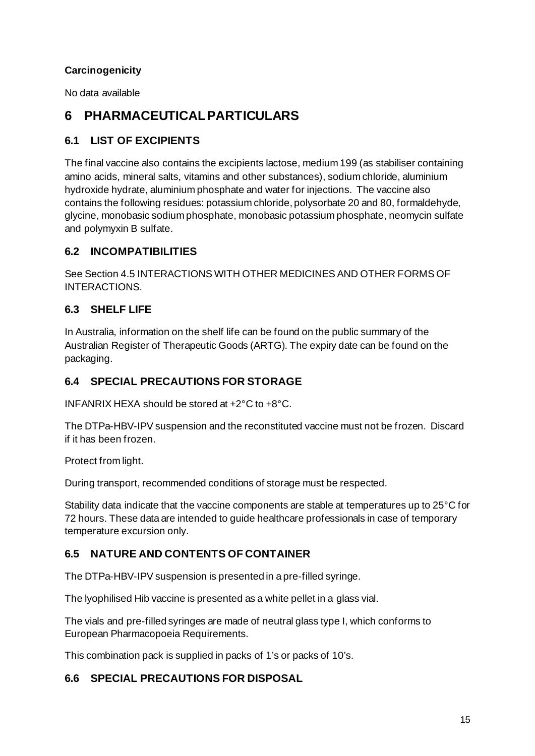## **Carcinogenicity**

No data available

# **6 PHARMACEUTICAL PARTICULARS**

## **6.1 LIST OF EXCIPIENTS**

The final vaccine also contains the excipients lactose, medium 199 (as stabiliser containing amino acids, mineral salts, vitamins and other substances), sodium chloride, aluminium hydroxide hydrate, aluminium phosphate and water for injections. The vaccine also contains the following residues: potassium chloride, polysorbate 20 and 80, formaldehyde, glycine, monobasic sodium phosphate, monobasic potassium phosphate, neomycin sulfate and polymyxin B sulfate.

### **6.2 INCOMPATIBILITIES**

See Section 4.5 INTERACTIONS WITH OTHER MEDICINES AND OTHER FORMS OF INTERACTIONS.

## **6.3 SHELF LIFE**

In Australia, information on the shelf life can be found on the public summary of the Australian Register of Therapeutic Goods (ARTG). The expiry date can be found on the packaging.

## **6.4 SPECIAL PRECAUTIONS FOR STORAGE**

INFANRIX HEXA should be stored at +2°C to +8°C.

The DTPa-HBV-IPV suspension and the reconstituted vaccine must not be frozen. Discard if it has been frozen.

Protect from light.

During transport, recommended conditions of storage must be respected.

Stability data indicate that the vaccine components are stable at temperatures up to 25°C for 72 hours. These data are intended to guide healthcare professionals in case of temporary temperature excursion only.

## **6.5 NATURE AND CONTENTS OF CONTAINER**

The DTPa-HBV-IPV suspension is presented in a pre-filled syringe.

The lyophilised Hib vaccine is presented as a white pellet in a glass vial.

The vials and pre-filled syringes are made of neutral glass type I, which conforms to European Pharmacopoeia Requirements.

This combination pack is supplied in packs of 1's or packs of 10's.

### **6.6 SPECIAL PRECAUTIONS FOR DISPOSAL**